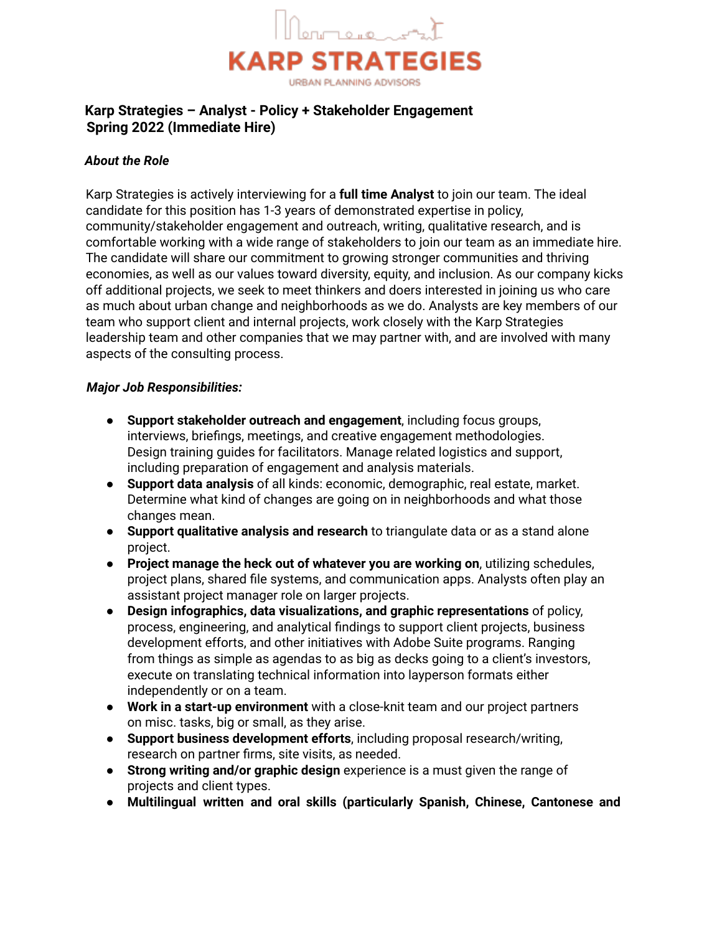

# **Karp Strategies – Analyst - Policy + Stakeholder Engagement Spring 2022 (Immediate Hire)**

## *About the Role*

Karp Strategies is actively interviewing for a **full time Analyst** to join our team. The ideal candidate for this position has 1-3 years of demonstrated expertise in policy, community/stakeholder engagement and outreach, writing, qualitative research, and is comfortable working with a wide range of stakeholders to join our team as an immediate hire. The candidate will share our commitment to growing stronger communities and thriving economies, as well as our values toward diversity, equity, and inclusion. As our company kicks off additional projects, we seek to meet thinkers and doers interested in joining us who care as much about urban change and neighborhoods as we do. Analysts are key members of our team who support client and internal projects, work closely with the Karp Strategies leadership team and other companies that we may partner with, and are involved with many aspects of the consulting process.

#### *Major Job Responsibilities:*

- **Support stakeholder outreach and engagement**, including focus groups, interviews, briefings, meetings, and creative engagement methodologies. Design training guides for facilitators. Manage related logistics and support, including preparation of engagement and analysis materials.
- **Support data analysis** of all kinds: economic, demographic, real estate, market. Determine what kind of changes are going on in neighborhoods and what those changes mean.
- **Support qualitative analysis and research** to triangulate data or as a stand alone project.
- **Project manage the heck out of whatever you are working on**, utilizing schedules, project plans, shared file systems, and communication apps. Analysts often play an assistant project manager role on larger projects.
- **Design infographics, data visualizations, and graphic representations** of policy, process, engineering, and analytical findings to support client projects, business development efforts, and other initiatives with Adobe Suite programs. Ranging from things as simple as agendas to as big as decks going to a client's investors, execute on translating technical information into layperson formats either independently or on a team.
- **Work in a start-up environment** with a close-knit team and our project partners on misc. tasks, big or small, as they arise.
- **Support business development efforts**, including proposal research/writing, research on partner firms, site visits, as needed.
- **Strong writing and/or graphic design** experience is a must given the range of projects and client types.
- **Multilingual written and oral skills (particularly Spanish, Chinese, Cantonese and**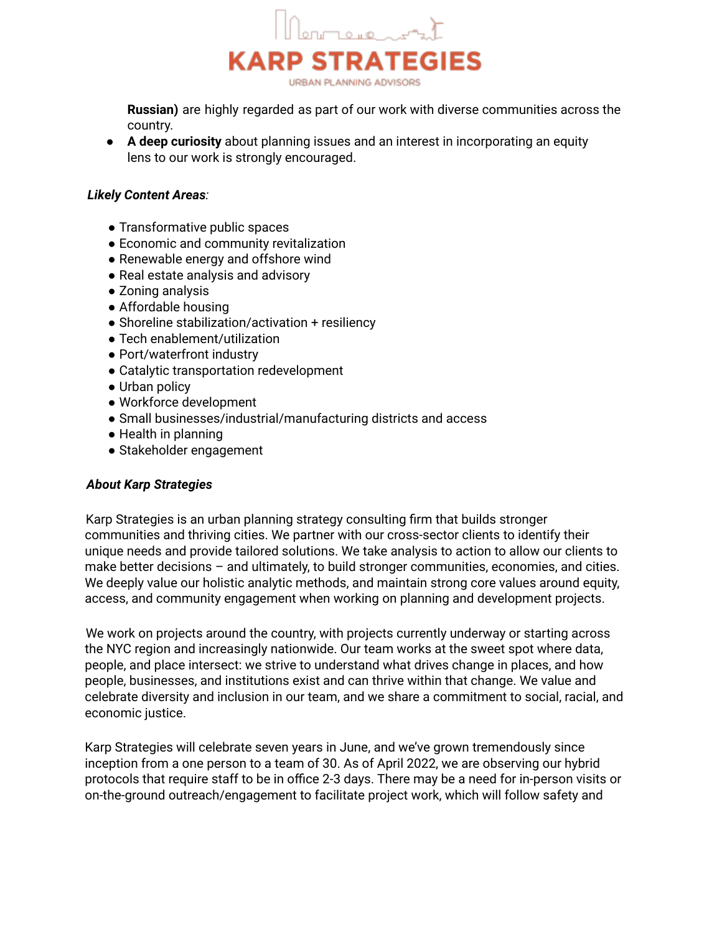

**Russian)** are highly regarded as part of our work with diverse communities across the country.

● **A deep curiosity** about planning issues and an interest in incorporating an equity lens to our work is strongly encouraged.

### *Likely Content Areas:*

- Transformative public spaces
- Economic and community revitalization
- Renewable energy and offshore wind
- Real estate analysis and advisory
- Zoning analysis
- Affordable housing
- Shoreline stabilization/activation + resiliency
- Tech enablement/utilization
- Port/waterfront industry
- Catalytic transportation redevelopment
- Urban policy
- Workforce development
- Small businesses/industrial/manufacturing districts and access
- Health in planning
- Stakeholder engagement

#### *About Karp Strategies*

Karp Strategies is an urban planning strategy consulting firm that builds stronger communities and thriving cities. We partner with our cross-sector clients to identify their unique needs and provide tailored solutions. We take analysis to action to allow our clients to make better decisions – and ultimately, to build stronger communities, economies, and cities. We deeply value our holistic analytic methods, and maintain strong core values around equity, access, and community engagement when working on planning and development projects.

We work on projects around the country, with projects currently underway or starting across the NYC region and increasingly nationwide. Our team works at the sweet spot where data, people, and place intersect: we strive to understand what drives change in places, and how people, businesses, and institutions exist and can thrive within that change. We value and celebrate diversity and inclusion in our team, and we share a commitment to social, racial, and economic justice.

Karp Strategies will celebrate seven years in June, and we've grown tremendously since inception from a one person to a team of 30. As of April 2022, we are observing our hybrid protocols that require staff to be in office 2-3 days. There may be a need for in-person visits or on-the-ground outreach/engagement to facilitate project work, which will follow safety and